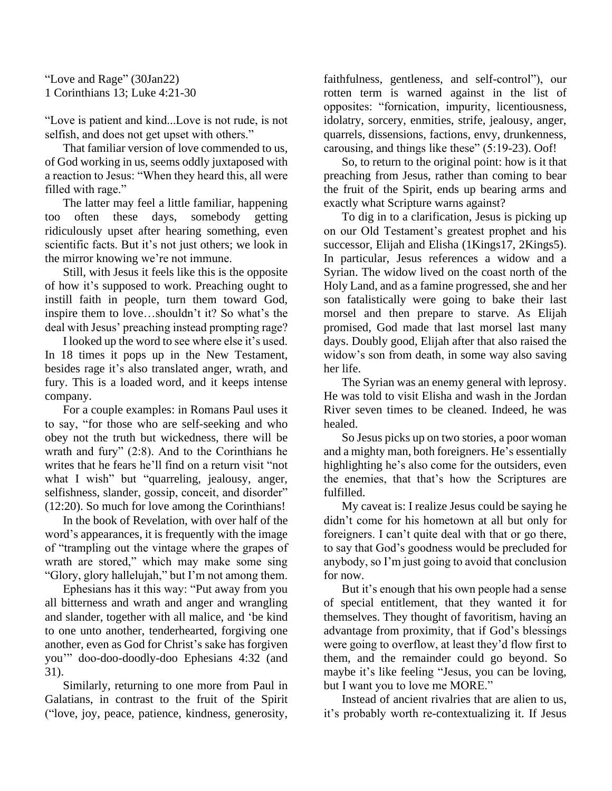"Love and Rage" (30Jan22) 1 Corinthians 13; Luke 4:21-30

"Love is patient and kind...Love is not rude, is not selfish, and does not get upset with others."

That familiar version of love commended to us, of God working in us, seems oddly juxtaposed with a reaction to Jesus: "When they heard this, all were filled with rage."

The latter may feel a little familiar, happening too often these days, somebody getting ridiculously upset after hearing something, even scientific facts. But it's not just others; we look in the mirror knowing we're not immune.

Still, with Jesus it feels like this is the opposite of how it's supposed to work. Preaching ought to instill faith in people, turn them toward God, inspire them to love…shouldn't it? So what's the deal with Jesus' preaching instead prompting rage?

I looked up the word to see where else it's used. In 18 times it pops up in the New Testament, besides rage it's also translated anger, wrath, and fury. This is a loaded word, and it keeps intense company.

For a couple examples: in Romans Paul uses it to say, "for those who are self-seeking and who obey not the truth but wickedness, there will be wrath and fury" (2:8). And to the Corinthians he writes that he fears he'll find on a return visit "not what I wish" but "quarreling, jealousy, anger, selfishness, slander, gossip, conceit, and disorder" (12:20). So much for love among the Corinthians!

In the book of Revelation, with over half of the word's appearances, it is frequently with the image of "trampling out the vintage where the grapes of wrath are stored," which may make some sing "Glory, glory hallelujah," but I'm not among them.

Ephesians has it this way: "Put away from you all bitterness and wrath and anger and wrangling and slander, together with all malice, and 'be kind to one unto another, tenderhearted, forgiving one another, even as God for Christ's sake has forgiven you'" doo-doo-doodly-doo Ephesians 4:32 (and 31).

Similarly, returning to one more from Paul in Galatians, in contrast to the fruit of the Spirit ("love, joy, peace, patience, kindness, generosity, faithfulness, gentleness, and self-control"), our rotten term is warned against in the list of opposites: "fornication, impurity, licentiousness, idolatry, sorcery, enmities, strife, jealousy, anger, quarrels, dissensions, factions, envy, drunkenness, carousing, and things like these" (5:19-23). Oof!

So, to return to the original point: how is it that preaching from Jesus, rather than coming to bear the fruit of the Spirit, ends up bearing arms and exactly what Scripture warns against?

To dig in to a clarification, Jesus is picking up on our Old Testament's greatest prophet and his successor, Elijah and Elisha (1Kings17, 2Kings5). In particular, Jesus references a widow and a Syrian. The widow lived on the coast north of the Holy Land, and as a famine progressed, she and her son fatalistically were going to bake their last morsel and then prepare to starve. As Elijah promised, God made that last morsel last many days. Doubly good, Elijah after that also raised the widow's son from death, in some way also saving her life.

The Syrian was an enemy general with leprosy. He was told to visit Elisha and wash in the Jordan River seven times to be cleaned. Indeed, he was healed.

So Jesus picks up on two stories, a poor woman and a mighty man, both foreigners. He's essentially highlighting he's also come for the outsiders, even the enemies, that that's how the Scriptures are fulfilled.

My caveat is: I realize Jesus could be saying he didn't come for his hometown at all but only for foreigners. I can't quite deal with that or go there, to say that God's goodness would be precluded for anybody, so I'm just going to avoid that conclusion for now.

But it's enough that his own people had a sense of special entitlement, that they wanted it for themselves. They thought of favoritism, having an advantage from proximity, that if God's blessings were going to overflow, at least they'd flow first to them, and the remainder could go beyond. So maybe it's like feeling "Jesus, you can be loving, but I want you to love me MORE."

Instead of ancient rivalries that are alien to us, it's probably worth re-contextualizing it. If Jesus